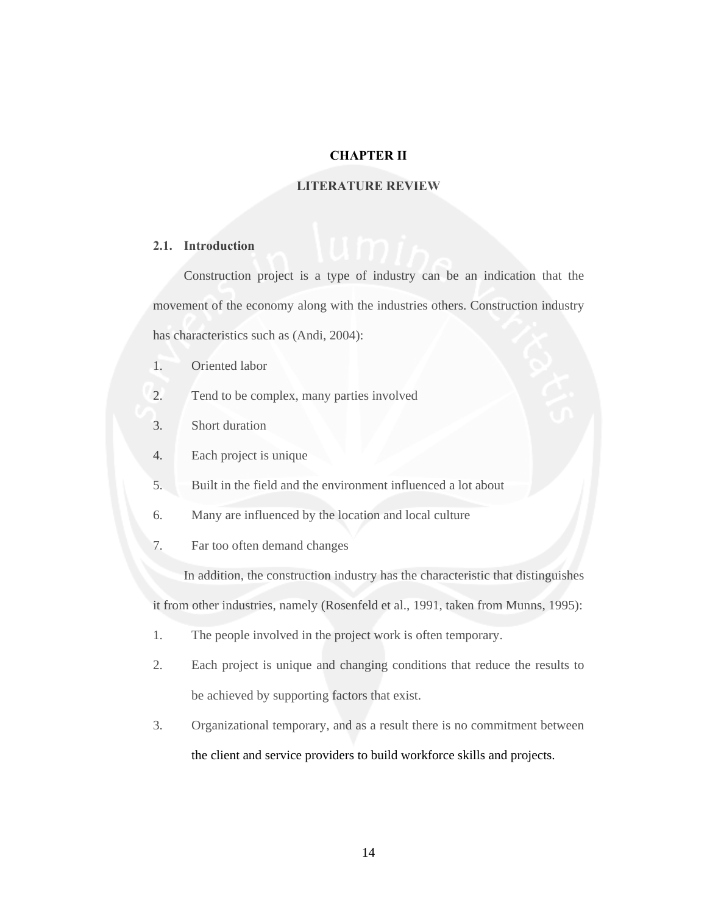# **CHAPTER II**

# **LITERATURE REVIEW**

## **2.1. Introduction**

Construction project is a type of industry can be an indication that the movement of the economy along with the industries others. Construction industry has characteristics such as (Andi, 2004):

- 1. Oriented labor
- 2. Tend to be complex, many parties involved
- 3. Short duration
- 4. Each project is unique
- 5. Built in the field and the environment influenced a lot about
- 6. Many are influenced by the location and local culture
- 7. Far too often demand changes

In addition, the construction industry has the characteristic that distinguishes

it from other industries, namely (Rosenfeld et al., 1991, taken from Munns, 1995):

- 1. The people involved in the project work is often temporary.
- 2. Each project is unique and changing conditions that reduce the results to be achieved by supporting factors that exist.
- 3. Organizational temporary, and as a result there is no commitment between the client and service providers to build workforce skills and projects.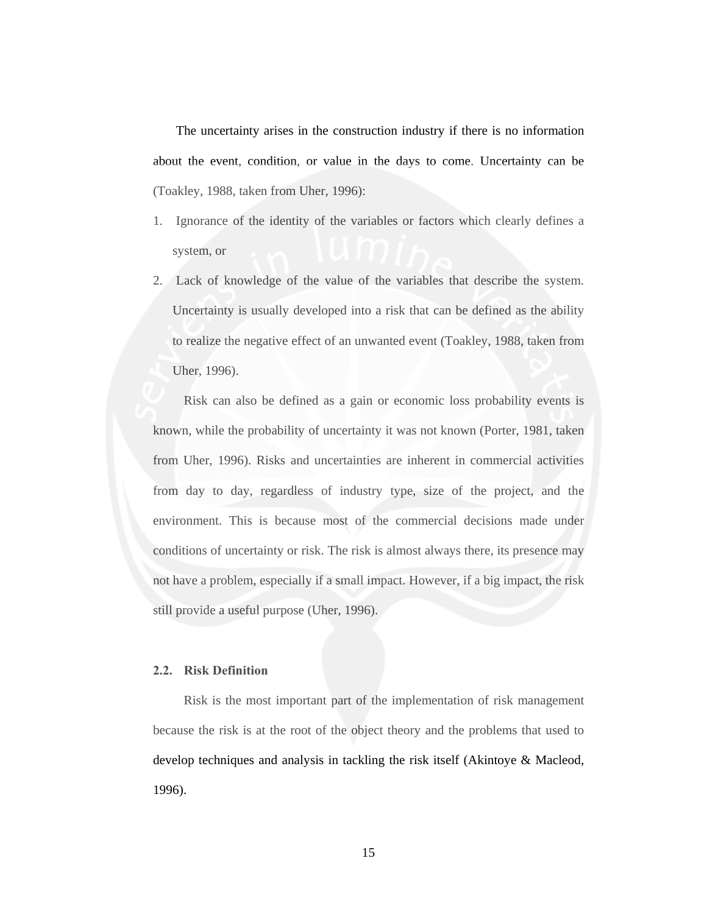The uncertainty arises in the construction industry if there is no information about the event, condition, or value in the days to come. Uncertainty can be (Toakley, 1988, taken from Uher, 1996):

- 1. Ignorance of the identity of the variables or factors which clearly defines a system, or
- 2. Lack of knowledge of the value of the variables that describe the system. Uncertainty is usually developed into a risk that can be defined as the ability to realize the negative effect of an unwanted event (Toakley, 1988, taken from Uher, 1996).

Risk can also be defined as a gain or economic loss probability events is known, while the probability of uncertainty it was not known (Porter, 1981, taken from Uher, 1996). Risks and uncertainties are inherent in commercial activities from day to day, regardless of industry type, size of the project, and the environment. This is because most of the commercial decisions made under conditions of uncertainty or risk. The risk is almost always there, its presence may not have a problem, especially if a small impact. However, if a big impact, the risk still provide a useful purpose (Uher, 1996).

#### **2.2. Risk Definition**

Risk is the most important part of the implementation of risk management because the risk is at the root of the object theory and the problems that used to develop techniques and analysis in tackling the risk itself (Akintoye & Macleod, 1996).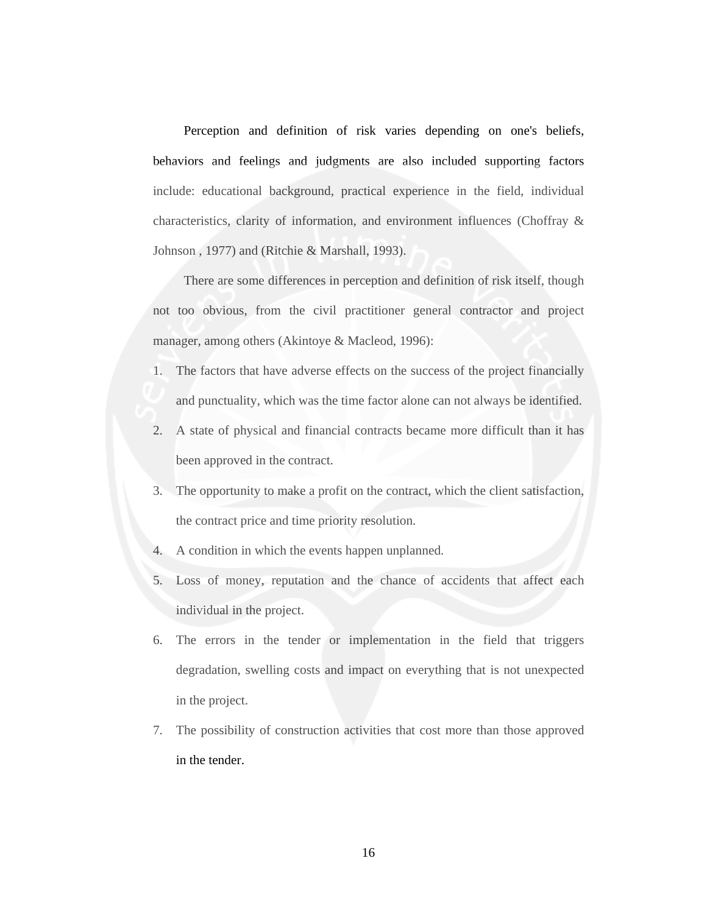Perception and definition of risk varies depending on one's beliefs, behaviors and feelings and judgments are also included supporting factors include: educational background, practical experience in the field, individual characteristics, clarity of information, and environment influences (Choffray & Johnson , 1977) and (Ritchie & Marshall, 1993).

There are some differences in perception and definition of risk itself, though not too obvious, from the civil practitioner general contractor and project manager, among others (Akintoye & Macleod, 1996):

- 1. The factors that have adverse effects on the success of the project financially and punctuality, which was the time factor alone can not always be identified.
- 2. A state of physical and financial contracts became more difficult than it has been approved in the contract.
- 3. The opportunity to make a profit on the contract, which the client satisfaction, the contract price and time priority resolution.
- 4. A condition in which the events happen unplanned.
- 5. Loss of money, reputation and the chance of accidents that affect each individual in the project.
- 6. The errors in the tender or implementation in the field that triggers degradation, swelling costs and impact on everything that is not unexpected in the project.
- 7. The possibility of construction activities that cost more than those approved in the tender.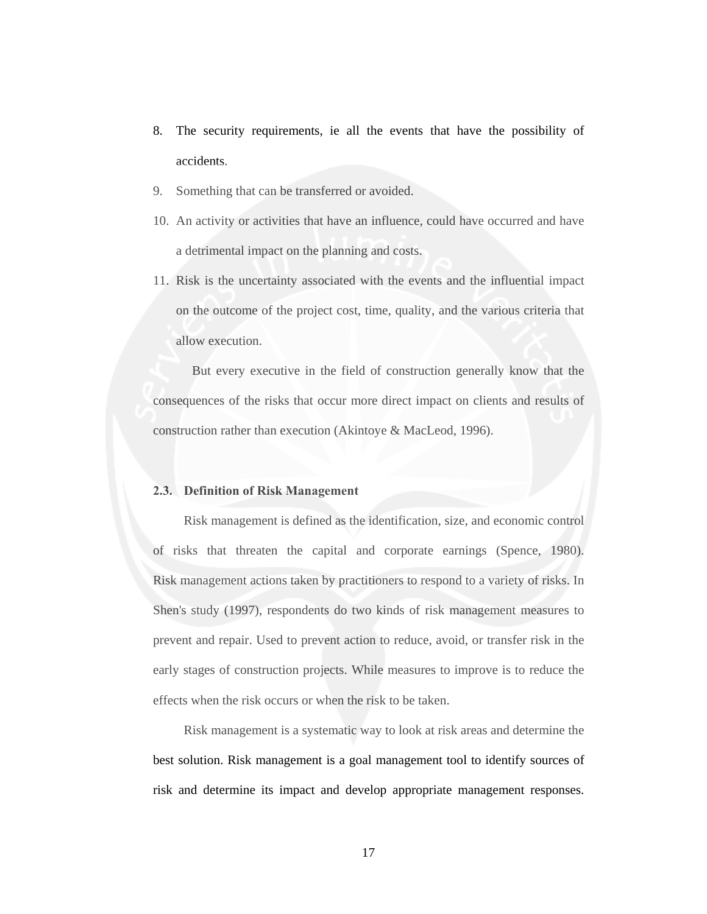- 8. The security requirements, ie all the events that have the possibility of accidents.
- 9. Something that can be transferred or avoided.
- 10. An activity or activities that have an influence, could have occurred and have a detrimental impact on the planning and costs.
- 11. Risk is the uncertainty associated with the events and the influential impact on the outcome of the project cost, time, quality, and the various criteria that allow execution.

 But every executive in the field of construction generally know that the consequences of the risks that occur more direct impact on clients and results of construction rather than execution (Akintoye & MacLeod, 1996).

#### **2.3. Definition of Risk Management**

Risk management is defined as the identification, size, and economic control of risks that threaten the capital and corporate earnings (Spence, 1980). Risk management actions taken by practitioners to respond to a variety of risks. In Shen's study (1997), respondents do two kinds of risk management measures to prevent and repair. Used to prevent action to reduce, avoid, or transfer risk in the early stages of construction projects. While measures to improve is to reduce the effects when the risk occurs or when the risk to be taken.

Risk management is a systematic way to look at risk areas and determine the best solution. Risk management is a goal management tool to identify sources of risk and determine its impact and develop appropriate management responses.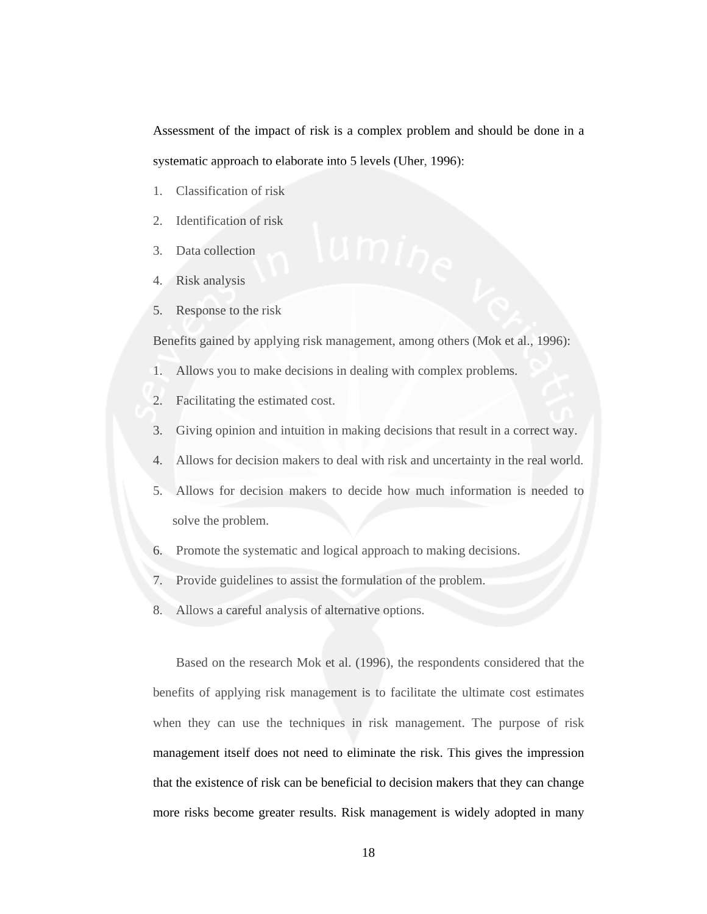Assessment of the impact of risk is a complex problem and should be done in a systematic approach to elaborate into 5 levels (Uher, 1996):

- 1. Classification of risk
- 2. Identification of risk
- 3. Data collection
- 4. Risk analysis
- 5. Response to the risk

Benefits gained by applying risk management, among others (Mok et al., 1996):

- 1. Allows you to make decisions in dealing with complex problems.
- 2. Facilitating the estimated cost.
- 3. Giving opinion and intuition in making decisions that result in a correct way.
- 4. Allows for decision makers to deal with risk and uncertainty in the real world.
- 5. Allows for decision makers to decide how much information is needed to solve the problem.
- 6. Promote the systematic and logical approach to making decisions.
- 7. Provide guidelines to assist the formulation of the problem.
- 8. Allows a careful analysis of alternative options.

Based on the research Mok et al. (1996), the respondents considered that the benefits of applying risk management is to facilitate the ultimate cost estimates when they can use the techniques in risk management. The purpose of risk management itself does not need to eliminate the risk. This gives the impression that the existence of risk can be beneficial to decision makers that they can change more risks become greater results. Risk management is widely adopted in many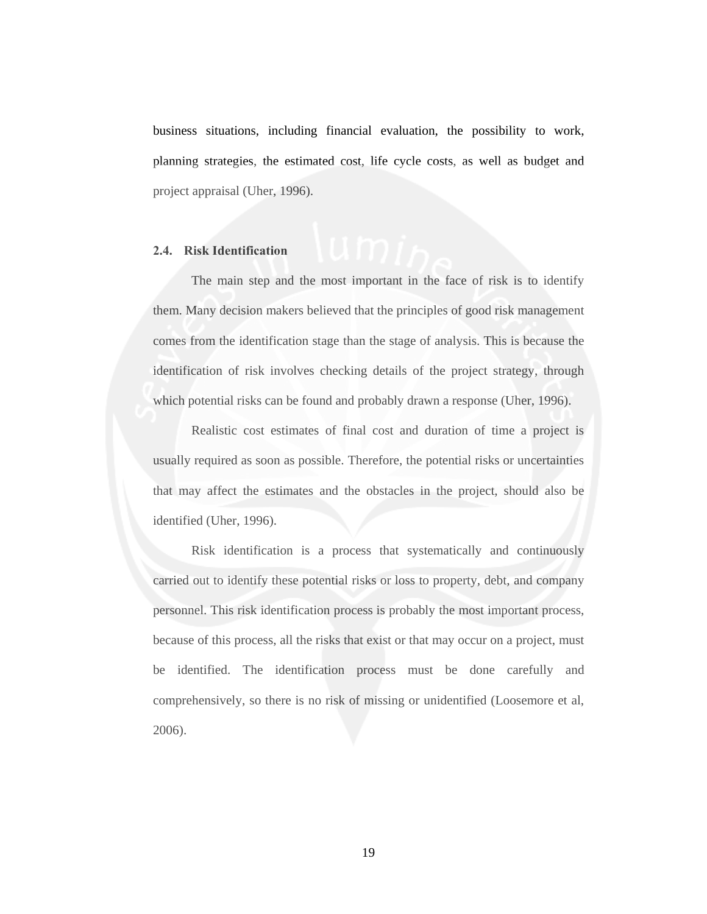business situations, including financial evaluation, the possibility to work, planning strategies, the estimated cost, life cycle costs, as well as budget and project appraisal (Uher, 1996).

## **2.4. Risk Identification**

The main step and the most important in the face of risk is to identify them. Many decision makers believed that the principles of good risk management comes from the identification stage than the stage of analysis. This is because the identification of risk involves checking details of the project strategy, through which potential risks can be found and probably drawn a response (Uher, 1996).

Realistic cost estimates of final cost and duration of time a project is usually required as soon as possible. Therefore, the potential risks or uncertainties that may affect the estimates and the obstacles in the project, should also be identified (Uher, 1996).

Risk identification is a process that systematically and continuously carried out to identify these potential risks or loss to property, debt, and company personnel. This risk identification process is probably the most important process, because of this process, all the risks that exist or that may occur on a project, must be identified. The identification process must be done carefully and comprehensively, so there is no risk of missing or unidentified (Loosemore et al, 2006).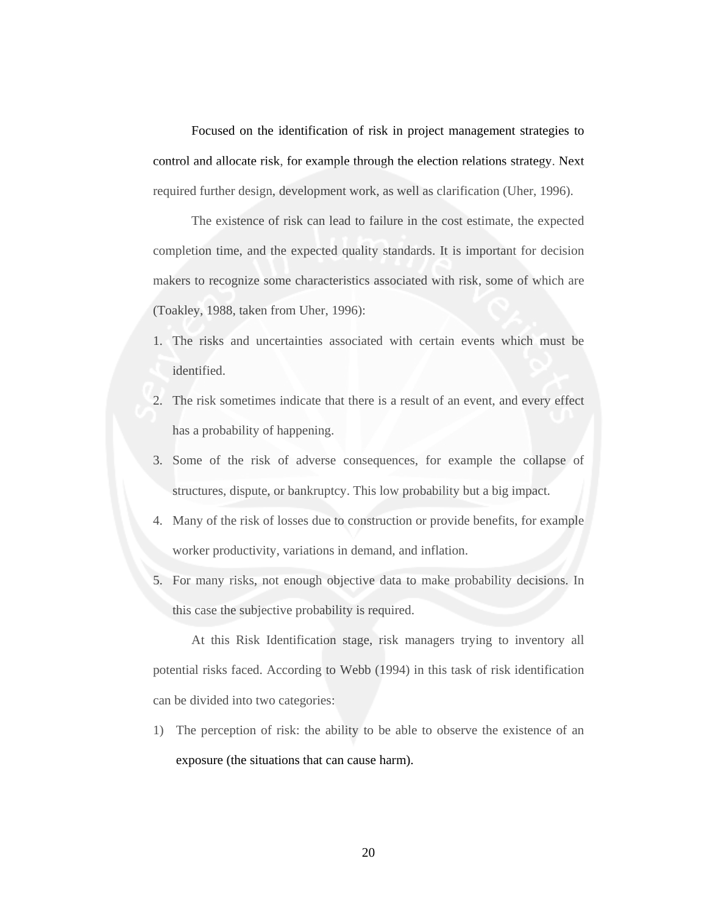Focused on the identification of risk in project management strategies to control and allocate risk, for example through the election relations strategy. Next required further design, development work, as well as clarification (Uher, 1996).

The existence of risk can lead to failure in the cost estimate, the expected completion time, and the expected quality standards. It is important for decision makers to recognize some characteristics associated with risk, some of which are (Toakley, 1988, taken from Uher, 1996):

- 1. The risks and uncertainties associated with certain events which must be identified.
- 2. The risk sometimes indicate that there is a result of an event, and every effect has a probability of happening.
- 3. Some of the risk of adverse consequences, for example the collapse of structures, dispute, or bankruptcy. This low probability but a big impact.
- 4. Many of the risk of losses due to construction or provide benefits, for example worker productivity, variations in demand, and inflation.
- 5. For many risks, not enough objective data to make probability decisions. In this case the subjective probability is required.

At this Risk Identification stage, risk managers trying to inventory all potential risks faced. According to Webb (1994) in this task of risk identification can be divided into two categories:

1) The perception of risk: the ability to be able to observe the existence of an exposure (the situations that can cause harm).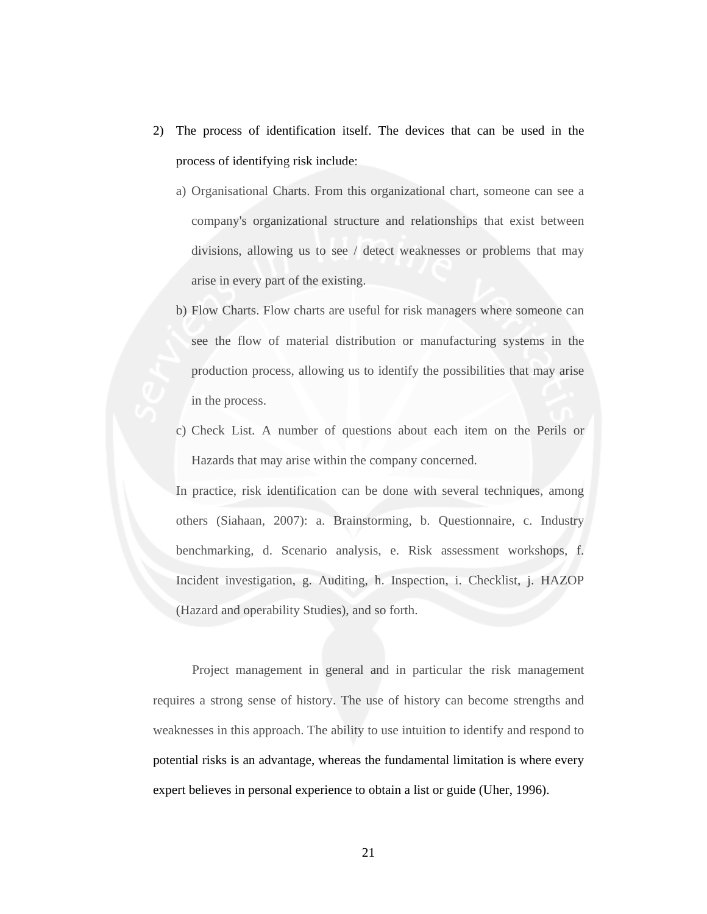- 2) The process of identification itself. The devices that can be used in the process of identifying risk include:
	- a) Organisational Charts. From this organizational chart, someone can see a company's organizational structure and relationships that exist between divisions, allowing us to see / detect weaknesses or problems that may arise in every part of the existing.
	- b) Flow Charts. Flow charts are useful for risk managers where someone can see the flow of material distribution or manufacturing systems in the production process, allowing us to identify the possibilities that may arise in the process.
	- c) Check List. A number of questions about each item on the Perils or Hazards that may arise within the company concerned.

In practice, risk identification can be done with several techniques, among others (Siahaan, 2007): a. Brainstorming, b. Questionnaire, c. Industry benchmarking, d. Scenario analysis, e. Risk assessment workshops, f. Incident investigation, g. Auditing, h. Inspection, i. Checklist, j. HAZOP (Hazard and operability Studies), and so forth.

 Project management in general and in particular the risk management requires a strong sense of history. The use of history can become strengths and weaknesses in this approach. The ability to use intuition to identify and respond to potential risks is an advantage, whereas the fundamental limitation is where every expert believes in personal experience to obtain a list or guide (Uher, 1996).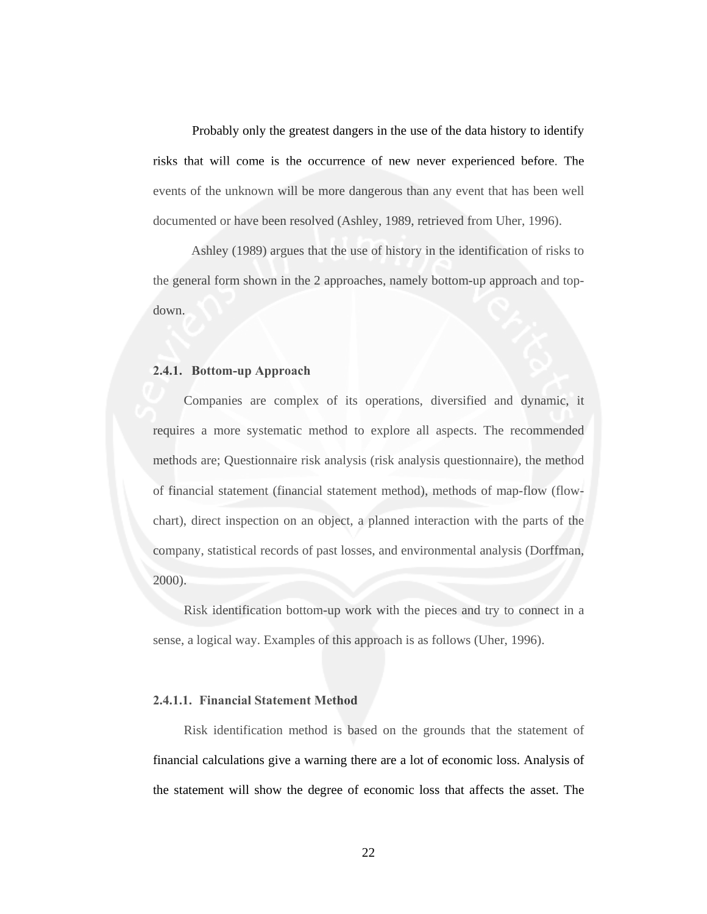Probably only the greatest dangers in the use of the data history to identify risks that will come is the occurrence of new never experienced before. The events of the unknown will be more dangerous than any event that has been well documented or have been resolved (Ashley, 1989, retrieved from Uher, 1996).

Ashley (1989) argues that the use of history in the identification of risks to the general form shown in the 2 approaches, namely bottom-up approach and topdown.

#### **2.4.1. Bottom-up Approach**

Companies are complex of its operations, diversified and dynamic, it requires a more systematic method to explore all aspects. The recommended methods are; Questionnaire risk analysis (risk analysis questionnaire), the method of financial statement (financial statement method), methods of map-flow (flowchart), direct inspection on an object, a planned interaction with the parts of the company, statistical records of past losses, and environmental analysis (Dorffman, 2000).

Risk identification bottom-up work with the pieces and try to connect in a sense, a logical way. Examples of this approach is as follows (Uher, 1996).

### **2.4.1.1. Financial Statement Method**

Risk identification method is based on the grounds that the statement of financial calculations give a warning there are a lot of economic loss. Analysis of the statement will show the degree of economic loss that affects the asset. The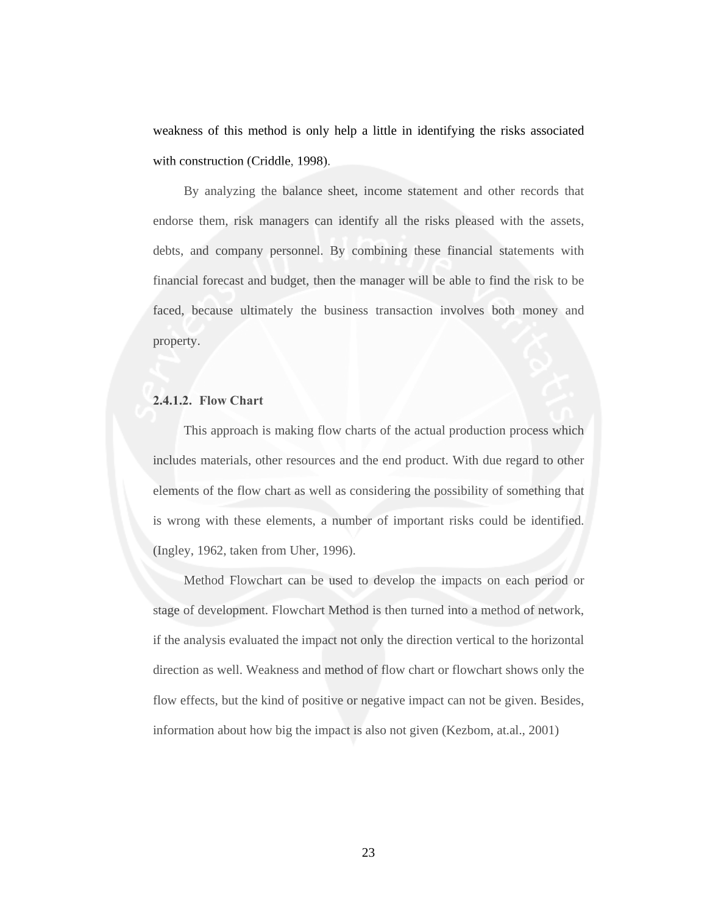weakness of this method is only help a little in identifying the risks associated with construction (Criddle, 1998).

By analyzing the balance sheet, income statement and other records that endorse them, risk managers can identify all the risks pleased with the assets, debts, and company personnel. By combining these financial statements with financial forecast and budget, then the manager will be able to find the risk to be faced, because ultimately the business transaction involves both money and property.

## **2.4.1.2. Flow Chart**

This approach is making flow charts of the actual production process which includes materials, other resources and the end product. With due regard to other elements of the flow chart as well as considering the possibility of something that is wrong with these elements, a number of important risks could be identified. (Ingley, 1962, taken from Uher, 1996).

Method Flowchart can be used to develop the impacts on each period or stage of development. Flowchart Method is then turned into a method of network, if the analysis evaluated the impact not only the direction vertical to the horizontal direction as well. Weakness and method of flow chart or flowchart shows only the flow effects, but the kind of positive or negative impact can not be given. Besides, information about how big the impact is also not given (Kezbom, at.al., 2001)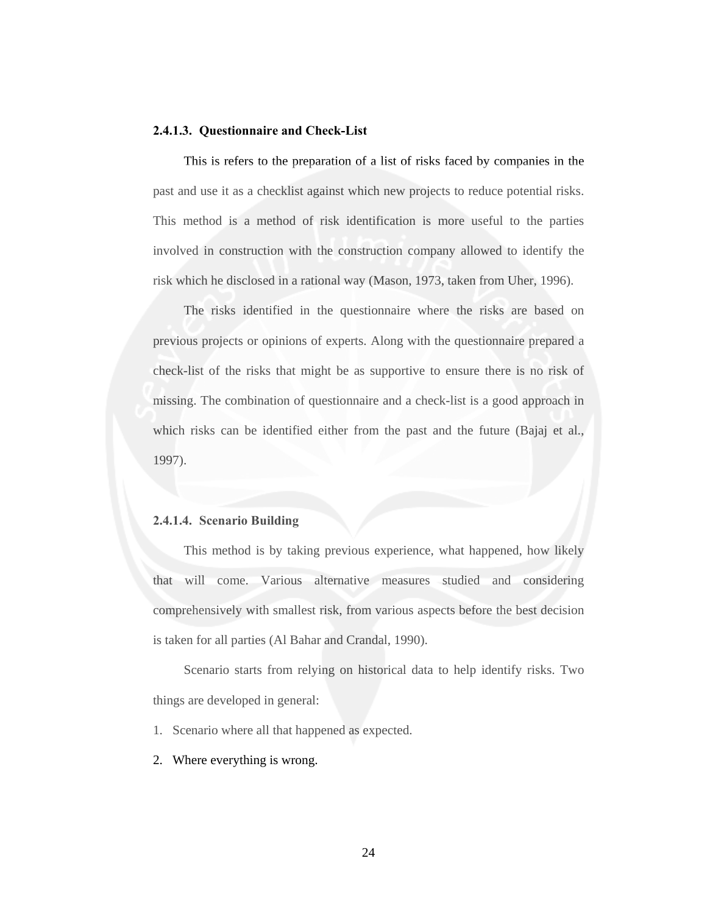#### **2.4.1.3. Questionnaire and Check-List**

This is refers to the preparation of a list of risks faced by companies in the past and use it as a checklist against which new projects to reduce potential risks. This method is a method of risk identification is more useful to the parties involved in construction with the construction company allowed to identify the risk which he disclosed in a rational way (Mason, 1973, taken from Uher, 1996).

The risks identified in the questionnaire where the risks are based on previous projects or opinions of experts. Along with the questionnaire prepared a check-list of the risks that might be as supportive to ensure there is no risk of missing. The combination of questionnaire and a check-list is a good approach in which risks can be identified either from the past and the future (Bajaj et al., 1997).

## **2.4.1.4. Scenario Building**

This method is by taking previous experience, what happened, how likely that will come. Various alternative measures studied and considering comprehensively with smallest risk, from various aspects before the best decision is taken for all parties (Al Bahar and Crandal, 1990).

Scenario starts from relying on historical data to help identify risks. Two things are developed in general:

- 1. Scenario where all that happened as expected.
- 2. Where everything is wrong.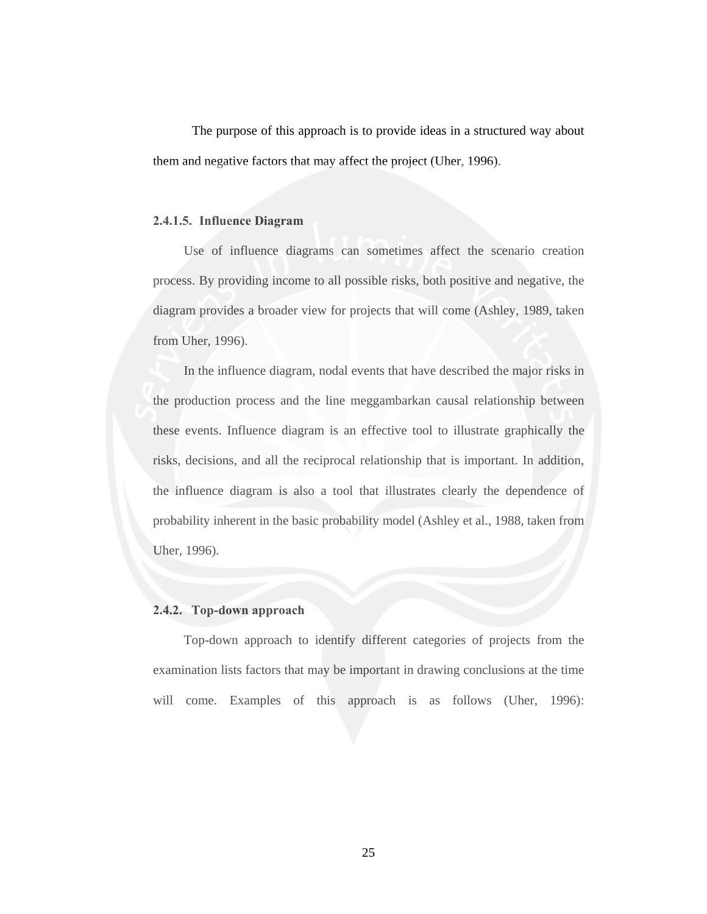The purpose of this approach is to provide ideas in a structured way about them and negative factors that may affect the project (Uher, 1996).

#### **2.4.1.5. Influence Diagram**

Use of influence diagrams can sometimes affect the scenario creation process. By providing income to all possible risks, both positive and negative, the diagram provides a broader view for projects that will come (Ashley, 1989, taken from Uher, 1996).

In the influence diagram, nodal events that have described the major risks in the production process and the line meggambarkan causal relationship between these events. Influence diagram is an effective tool to illustrate graphically the risks, decisions, and all the reciprocal relationship that is important. In addition, the influence diagram is also a tool that illustrates clearly the dependence of probability inherent in the basic probability model (Ashley et al., 1988, taken from Uher, 1996).

## **2.4.2. Top-down approach**

Top-down approach to identify different categories of projects from the examination lists factors that may be important in drawing conclusions at the time will come. Examples of this approach is as follows (Uher, 1996):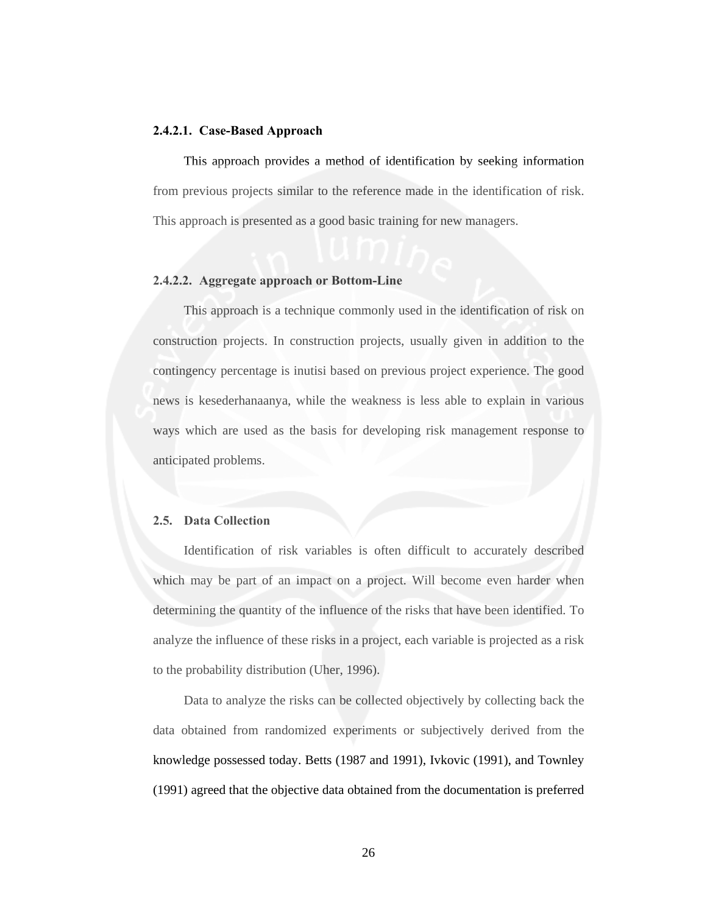#### **2.4.2.1. Case-Based Approach**

This approach provides a method of identification by seeking information from previous projects similar to the reference made in the identification of risk. This approach is presented as a good basic training for new managers.

#### **2.4.2.2. Aggregate approach or Bottom-Line**

This approach is a technique commonly used in the identification of risk on construction projects. In construction projects, usually given in addition to the contingency percentage is inutisi based on previous project experience. The good news is kesederhanaanya, while the weakness is less able to explain in various ways which are used as the basis for developing risk management response to anticipated problems.

## **2.5. Data Collection**

Identification of risk variables is often difficult to accurately described which may be part of an impact on a project. Will become even harder when determining the quantity of the influence of the risks that have been identified. To analyze the influence of these risks in a project, each variable is projected as a risk to the probability distribution (Uher, 1996).

Data to analyze the risks can be collected objectively by collecting back the data obtained from randomized experiments or subjectively derived from the knowledge possessed today. Betts (1987 and 1991), Ivkovic (1991), and Townley (1991) agreed that the objective data obtained from the documentation is preferred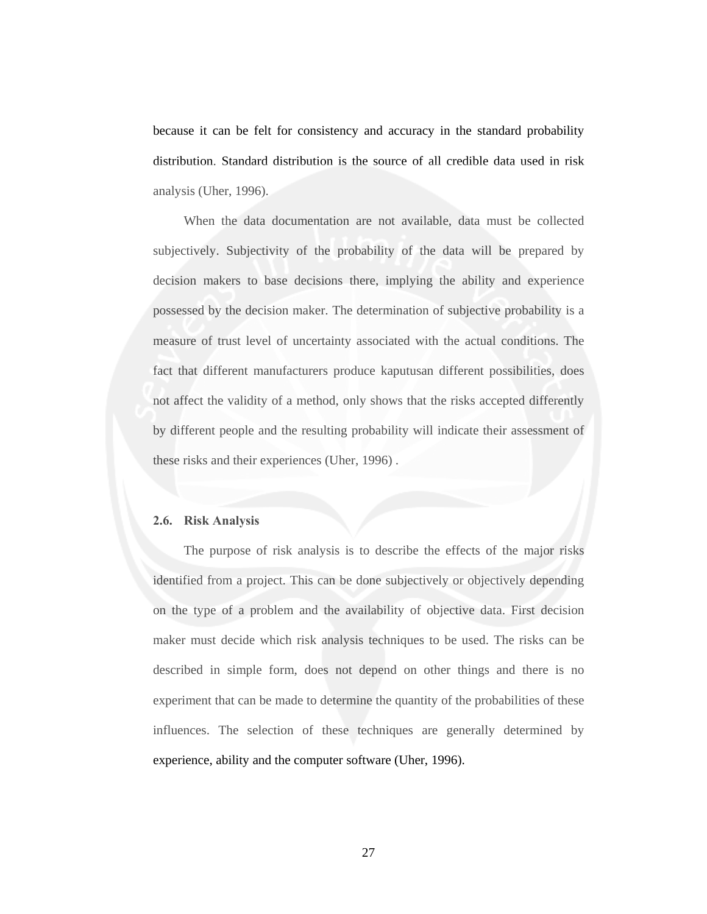because it can be felt for consistency and accuracy in the standard probability distribution. Standard distribution is the source of all credible data used in risk analysis (Uher, 1996).

When the data documentation are not available, data must be collected subjectively. Subjectivity of the probability of the data will be prepared by decision makers to base decisions there, implying the ability and experience possessed by the decision maker. The determination of subjective probability is a measure of trust level of uncertainty associated with the actual conditions. The fact that different manufacturers produce kaputusan different possibilities, does not affect the validity of a method, only shows that the risks accepted differently by different people and the resulting probability will indicate their assessment of these risks and their experiences (Uher, 1996) .

## **2.6. Risk Analysis**

The purpose of risk analysis is to describe the effects of the major risks identified from a project. This can be done subjectively or objectively depending on the type of a problem and the availability of objective data. First decision maker must decide which risk analysis techniques to be used. The risks can be described in simple form, does not depend on other things and there is no experiment that can be made to determine the quantity of the probabilities of these influences. The selection of these techniques are generally determined by experience, ability and the computer software (Uher, 1996).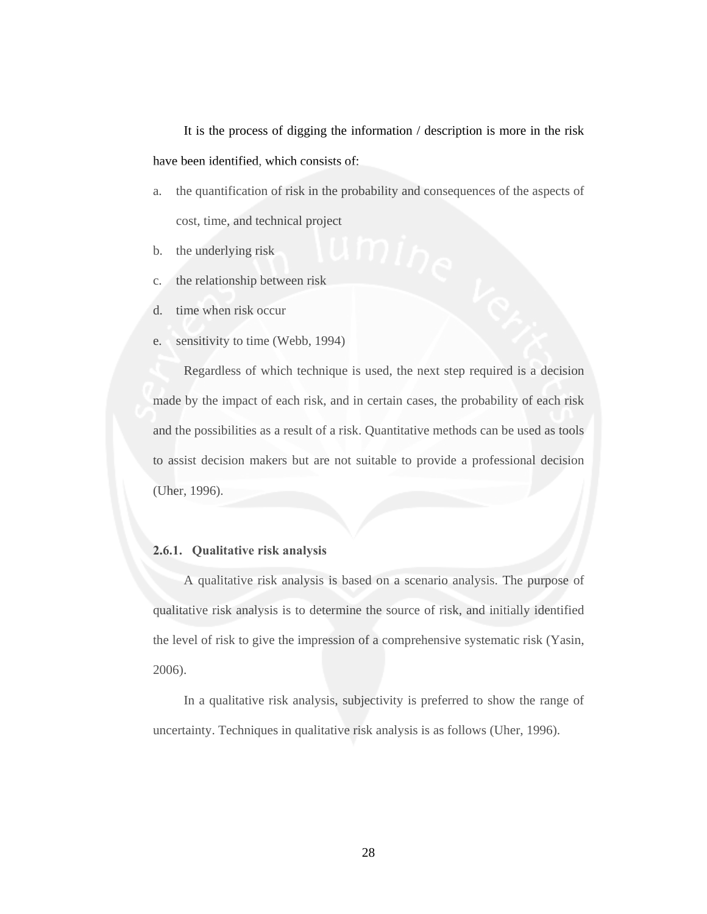It is the process of digging the information / description is more in the risk have been identified, which consists of:

- a. the quantification of risk in the probability and consequences of the aspects of cost, time, and technical project
- b. the underlying risk
- c. the relationship between risk
- d. time when risk occur
- e. sensitivity to time (Webb, 1994)

Regardless of which technique is used, the next step required is a decision made by the impact of each risk, and in certain cases, the probability of each risk and the possibilities as a result of a risk. Quantitative methods can be used as tools to assist decision makers but are not suitable to provide a professional decision (Uher, 1996).

#### **2.6.1. Qualitative risk analysis**

A qualitative risk analysis is based on a scenario analysis. The purpose of qualitative risk analysis is to determine the source of risk, and initially identified the level of risk to give the impression of a comprehensive systematic risk (Yasin, 2006).

In a qualitative risk analysis, subjectivity is preferred to show the range of uncertainty. Techniques in qualitative risk analysis is as follows (Uher, 1996).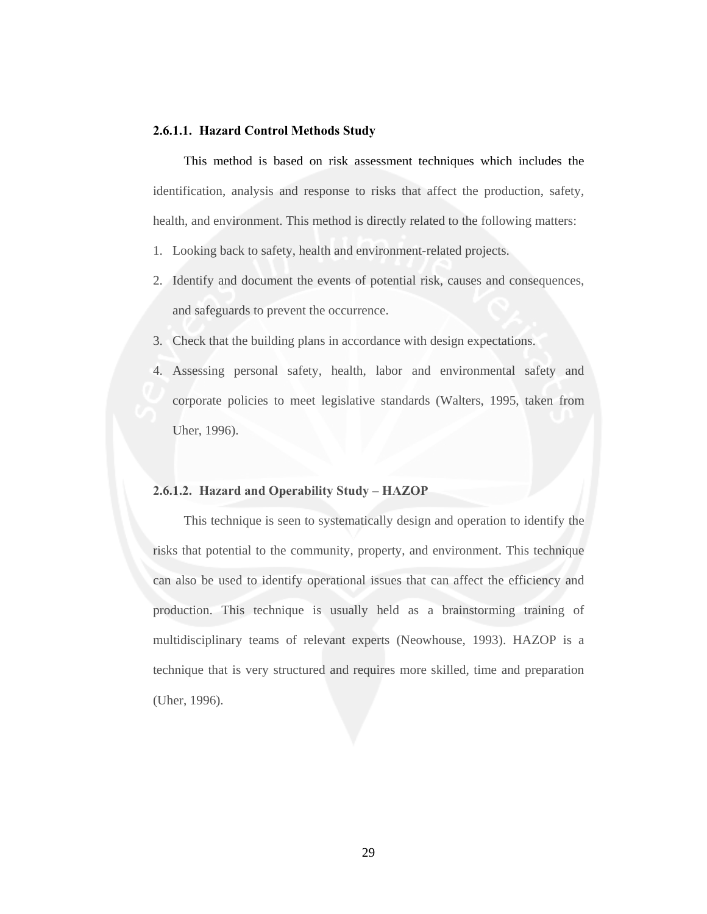#### **2.6.1.1. Hazard Control Methods Study**

This method is based on risk assessment techniques which includes the identification, analysis and response to risks that affect the production, safety, health, and environment. This method is directly related to the following matters:

- 1. Looking back to safety, health and environment-related projects.
- 2. Identify and document the events of potential risk, causes and consequences, and safeguards to prevent the occurrence.
- 3. Check that the building plans in accordance with design expectations.
- 4. Assessing personal safety, health, labor and environmental safety and corporate policies to meet legislative standards (Walters, 1995, taken from Uher, 1996).

#### **2.6.1.2. Hazard and Operability Study – HAZOP**

This technique is seen to systematically design and operation to identify the risks that potential to the community, property, and environment. This technique can also be used to identify operational issues that can affect the efficiency and production. This technique is usually held as a brainstorming training of multidisciplinary teams of relevant experts (Neowhouse, 1993). HAZOP is a technique that is very structured and requires more skilled, time and preparation (Uher, 1996).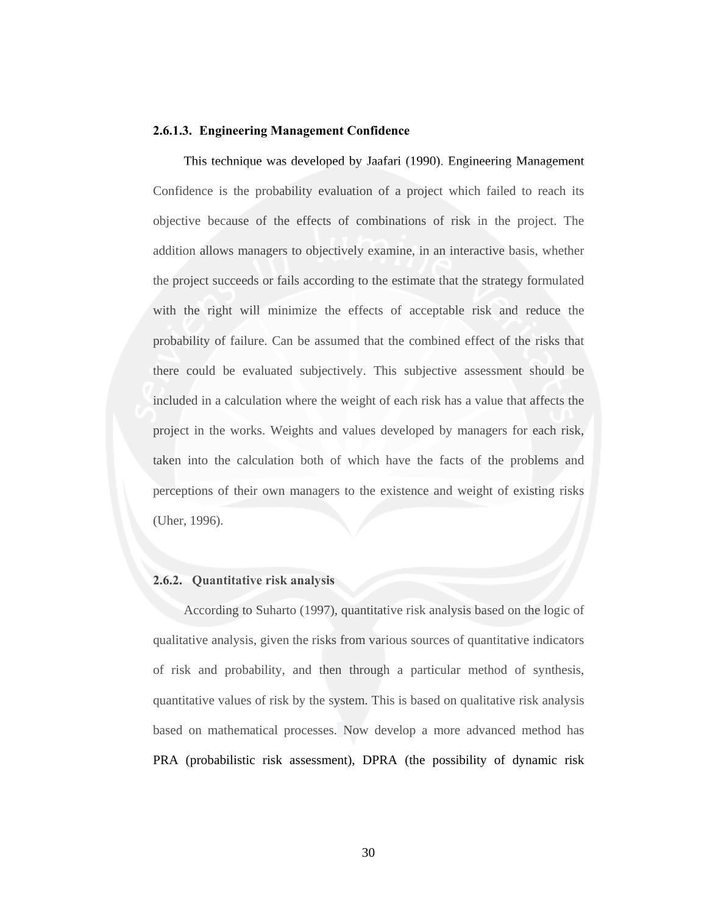#### **2.6.1.3. Engineering Management Confidence**

This technique was developed by Jaafari (1990). Engineering Management Confidence is the probability evaluation of a project which failed to reach its objective because of the effects of combinations of risk in the project. The addition allows managers to objectively examine, in an interactive basis, whether the project succeeds or fails according to the estimate that the strategy formulated with the right will minimize the effects of acceptable risk and reduce the probability of failure. Can be assumed that the combined effect of the risks that there could be evaluated subjectively. This subjective assessment should be included in a calculation where the weight of each risk has a value that affects the project in the works. Weights and values developed by managers for each risk, taken into the calculation both of which have the facts of the problems and perceptions of their own managers to the existence and weight of existing risks (Uher, 1996).

## **2.6.2. Quantitative risk analysis**

According to Suharto (1997), quantitative risk analysis based on the logic of qualitative analysis, given the risks from various sources of quantitative indicators of risk and probability, and then through a particular method of synthesis, quantitative values of risk by the system. This is based on qualitative risk analysis based on mathematical processes. Now develop a more advanced method has PRA (probabilistic risk assessment), DPRA (the possibility of dynamic risk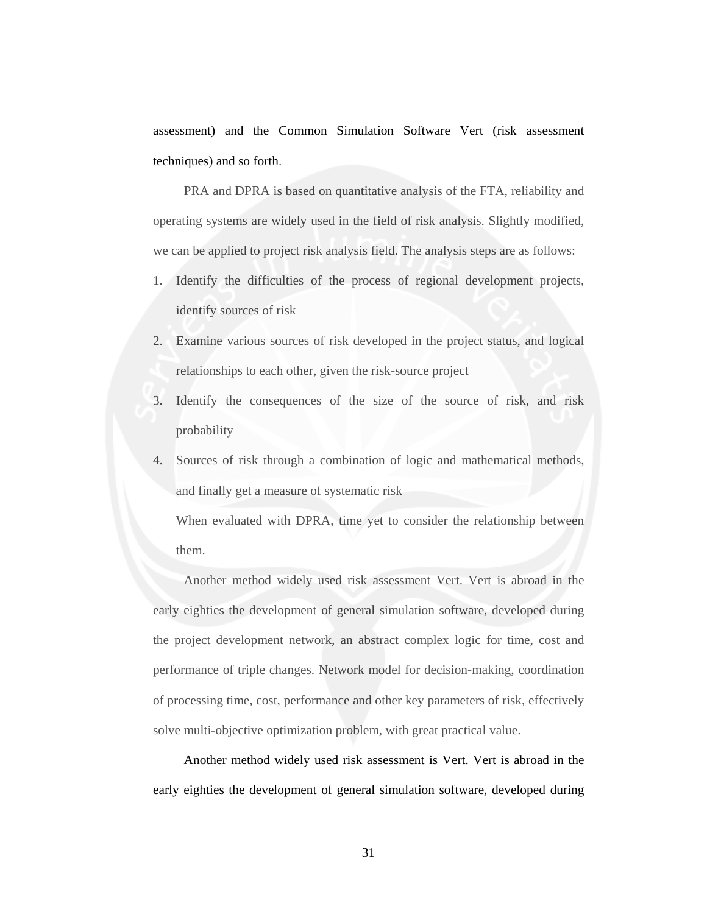assessment) and the Common Simulation Software Vert (risk assessment techniques) and so forth.

PRA and DPRA is based on quantitative analysis of the FTA, reliability and operating systems are widely used in the field of risk analysis. Slightly modified, we can be applied to project risk analysis field. The analysis steps are as follows:

- 1. Identify the difficulties of the process of regional development projects, identify sources of risk
- 2. Examine various sources of risk developed in the project status, and logical relationships to each other, given the risk-source project
- 3. Identify the consequences of the size of the source of risk, and risk probability
- 4. Sources of risk through a combination of logic and mathematical methods, and finally get a measure of systematic risk

When evaluated with DPRA, time yet to consider the relationship between them.

Another method widely used risk assessment Vert. Vert is abroad in the early eighties the development of general simulation software, developed during the project development network, an abstract complex logic for time, cost and performance of triple changes. Network model for decision-making, coordination of processing time, cost, performance and other key parameters of risk, effectively solve multi-objective optimization problem, with great practical value.

Another method widely used risk assessment is Vert. Vert is abroad in the early eighties the development of general simulation software, developed during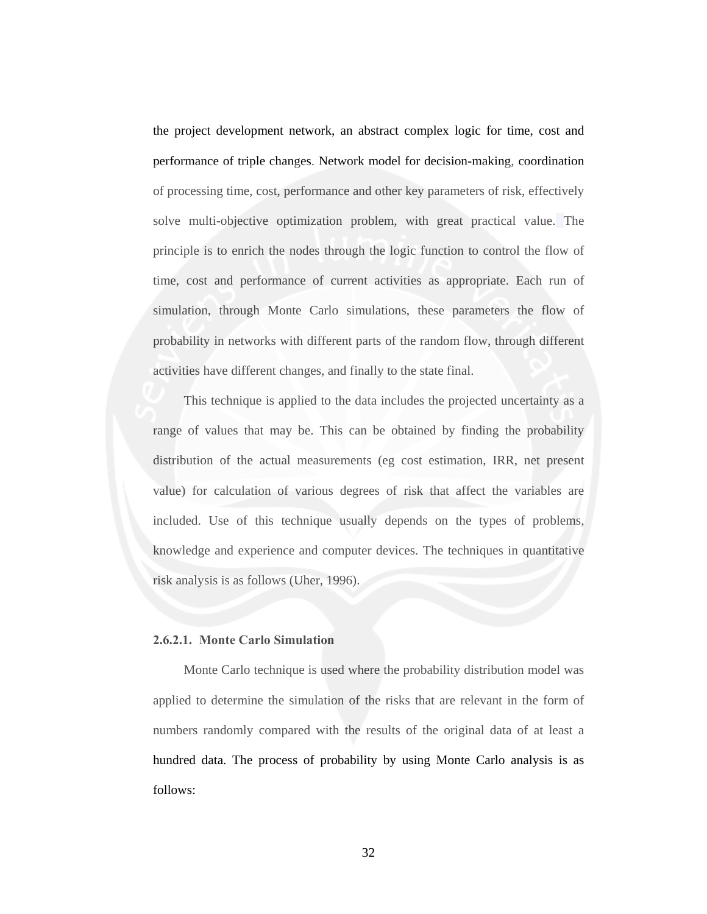the project development network, an abstract complex logic for time, cost and performance of triple changes. Network model for decision-making, coordination of processing time, cost, performance and other key parameters of risk, effectively solve multi-objective optimization problem, with great practical value. The principle is to enrich the nodes through the logic function to control the flow of time, cost and performance of current activities as appropriate. Each run of simulation, through Monte Carlo simulations, these parameters the flow of probability in networks with different parts of the random flow, through different activities have different changes, and finally to the state final.

This technique is applied to the data includes the projected uncertainty as a range of values that may be. This can be obtained by finding the probability distribution of the actual measurements (eg cost estimation, IRR, net present value) for calculation of various degrees of risk that affect the variables are included. Use of this technique usually depends on the types of problems, knowledge and experience and computer devices. The techniques in quantitative risk analysis is as follows (Uher, 1996).

### **2.6.2.1. Monte Carlo Simulation**

Monte Carlo technique is used where the probability distribution model was applied to determine the simulation of the risks that are relevant in the form of numbers randomly compared with the results of the original data of at least a hundred data. The process of probability by using Monte Carlo analysis is as follows: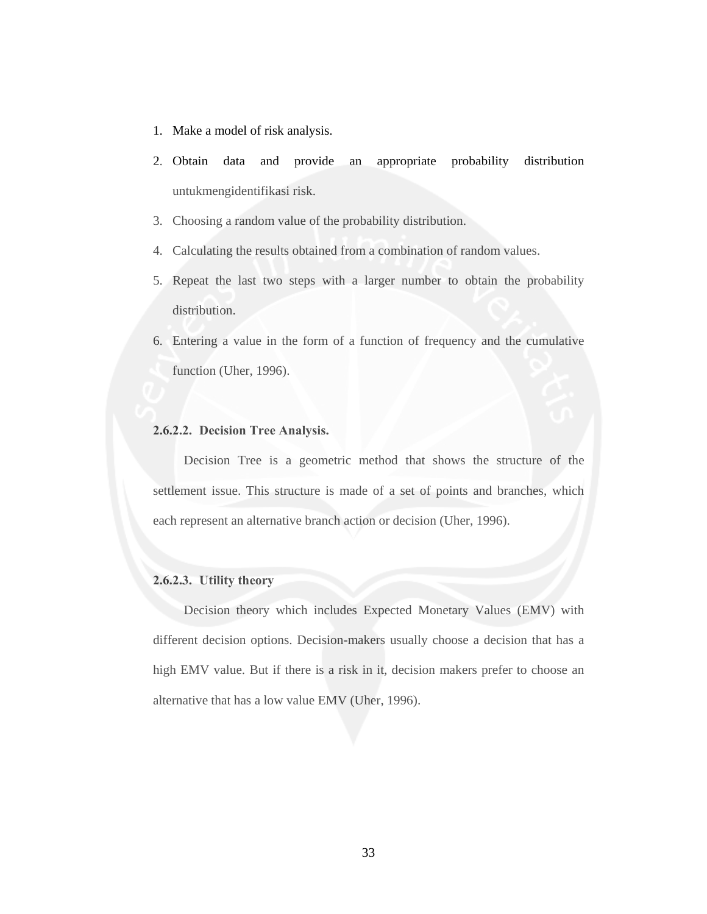- 1. Make a model of risk analysis.
- 2. Obtain data and provide an appropriate probability distribution untukmengidentifikasi risk.
- 3. Choosing a random value of the probability distribution.
- 4. Calculating the results obtained from a combination of random values.
- 5. Repeat the last two steps with a larger number to obtain the probability distribution.
- 6. Entering a value in the form of a function of frequency and the cumulative function (Uher, 1996).

#### **2.6.2.2. Decision Tree Analysis.**

Decision Tree is a geometric method that shows the structure of the settlement issue. This structure is made of a set of points and branches, which each represent an alternative branch action or decision (Uher, 1996).

### **2.6.2.3. Utility theory**

Decision theory which includes Expected Monetary Values (EMV) with different decision options. Decision-makers usually choose a decision that has a high EMV value. But if there is a risk in it, decision makers prefer to choose an alternative that has a low value EMV (Uher, 1996).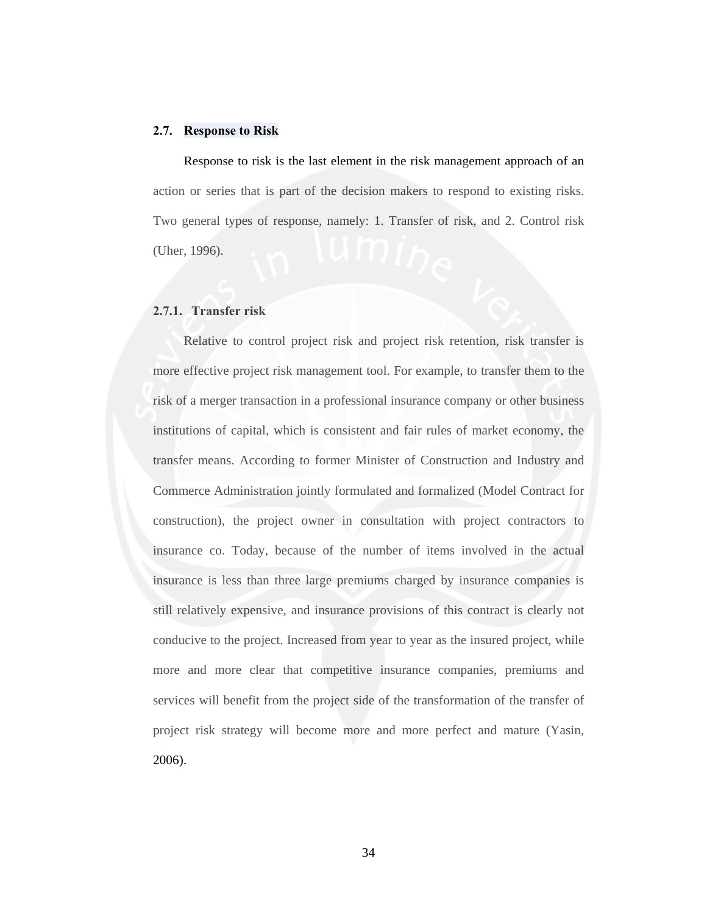#### **2.7. Response to Risk**

Response to risk is the last element in the risk management approach of an action or series that is part of the decision makers to respond to existing risks. Two general types of response, namely: 1. Transfer of risk, and 2. Control risk (Uher, 1996).

## **2.7.1. Transfer risk**

Relative to control project risk and project risk retention, risk transfer is more effective project risk management tool. For example, to transfer them to the risk of a merger transaction in a professional insurance company or other business institutions of capital, which is consistent and fair rules of market economy, the transfer means. According to former Minister of Construction and Industry and Commerce Administration jointly formulated and formalized (Model Contract for construction), the project owner in consultation with project contractors to insurance co. Today, because of the number of items involved in the actual insurance is less than three large premiums charged by insurance companies is still relatively expensive, and insurance provisions of this contract is clearly not conducive to the project. Increased from year to year as the insured project, while more and more clear that competitive insurance companies, premiums and services will benefit from the project side of the transformation of the transfer of project risk strategy will become more and more perfect and mature (Yasin, 2006).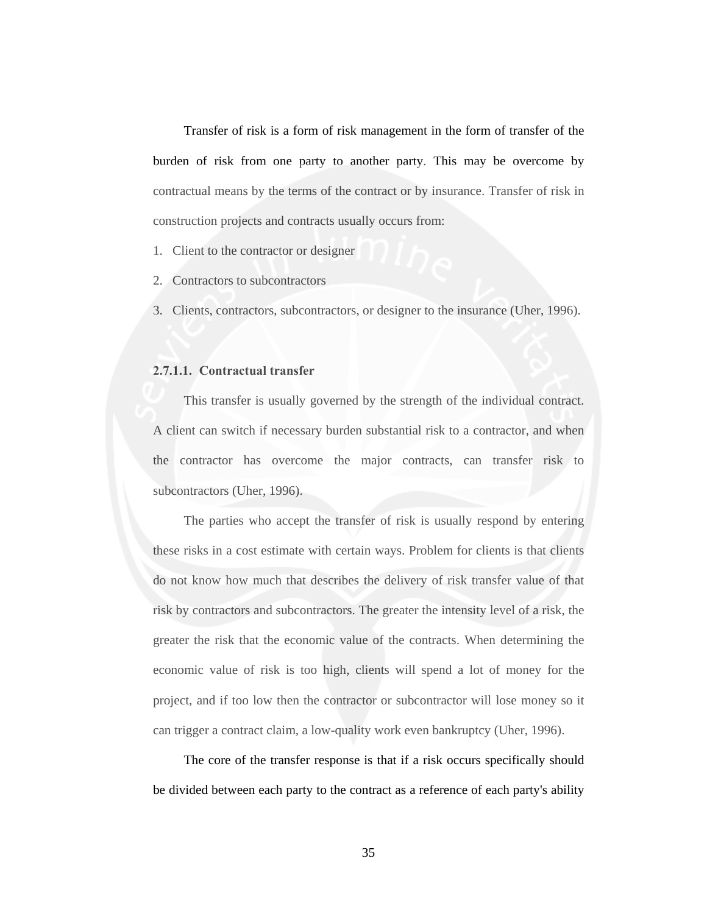Transfer of risk is a form of risk management in the form of transfer of the burden of risk from one party to another party. This may be overcome by contractual means by the terms of the contract or by insurance. Transfer of risk in construction projects and contracts usually occurs from:

- 1. Client to the contractor or designer
- 2. Contractors to subcontractors
- 3. Clients, contractors, subcontractors, or designer to the insurance (Uher, 1996).

## **2.7.1.1. Contractual transfer**

This transfer is usually governed by the strength of the individual contract. A client can switch if necessary burden substantial risk to a contractor, and when the contractor has overcome the major contracts, can transfer risk to subcontractors (Uher, 1996).

The parties who accept the transfer of risk is usually respond by entering these risks in a cost estimate with certain ways. Problem for clients is that clients do not know how much that describes the delivery of risk transfer value of that risk by contractors and subcontractors. The greater the intensity level of a risk, the greater the risk that the economic value of the contracts. When determining the economic value of risk is too high, clients will spend a lot of money for the project, and if too low then the contractor or subcontractor will lose money so it can trigger a contract claim, a low-quality work even bankruptcy (Uher, 1996).

The core of the transfer response is that if a risk occurs specifically should be divided between each party to the contract as a reference of each party's ability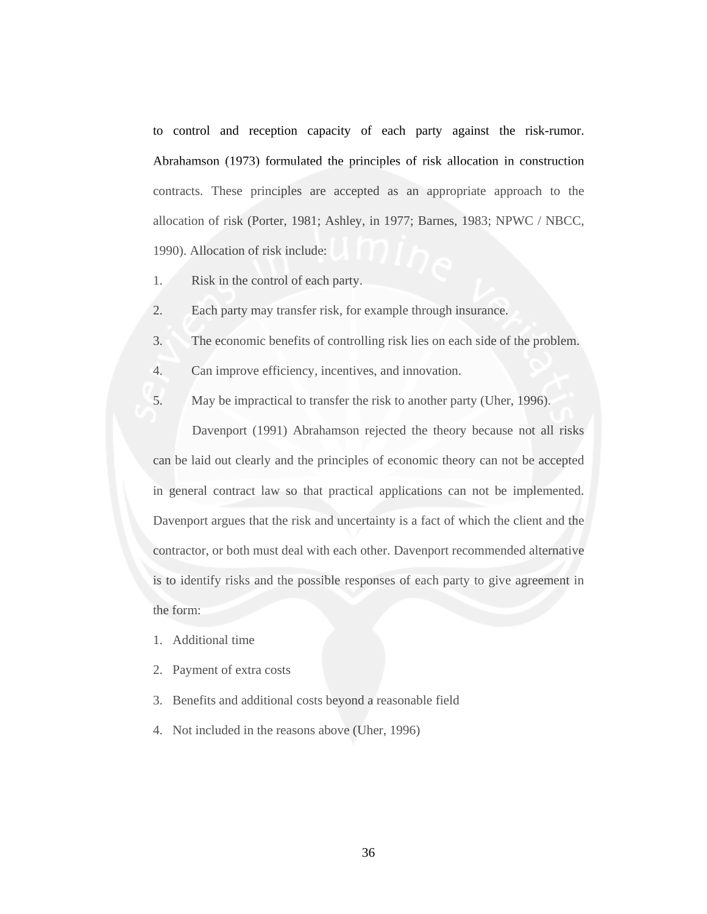to control and reception capacity of each party against the risk-rumor. Abrahamson (1973) formulated the principles of risk allocation in construction contracts. These principles are accepted as an appropriate approach to the allocation of risk (Porter, 1981; Ashley, in 1977; Barnes, 1983; NPWC / NBCC, 1990). Allocation of risk include:

- 1. Risk in the control of each party.
- 2. Each party may transfer risk, for example through insurance.
- 3. The economic benefits of controlling risk lies on each side of the problem.
- 4. Can improve efficiency, incentives, and innovation.
- 5. May be impractical to transfer the risk to another party (Uher, 1996).

 Davenport (1991) Abrahamson rejected the theory because not all risks can be laid out clearly and the principles of economic theory can not be accepted in general contract law so that practical applications can not be implemented. Davenport argues that the risk and uncertainty is a fact of which the client and the contractor, or both must deal with each other. Davenport recommended alternative is to identify risks and the possible responses of each party to give agreement in the form:

- 1. Additional time
- 2. Payment of extra costs
- 3. Benefits and additional costs beyond a reasonable field
- 4. Not included in the reasons above (Uher, 1996)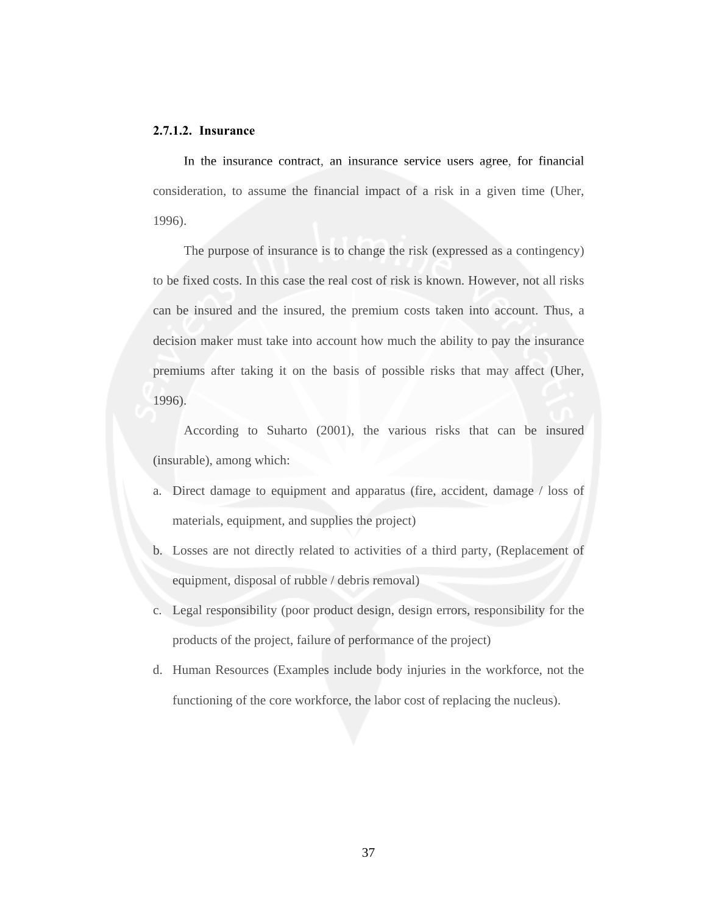#### **2.7.1.2. Insurance**

In the insurance contract, an insurance service users agree, for financial consideration, to assume the financial impact of a risk in a given time (Uher, 1996).

The purpose of insurance is to change the risk (expressed as a contingency) to be fixed costs. In this case the real cost of risk is known. However, not all risks can be insured and the insured, the premium costs taken into account. Thus, a decision maker must take into account how much the ability to pay the insurance premiums after taking it on the basis of possible risks that may affect (Uher, 1996).

According to Suharto (2001), the various risks that can be insured (insurable), among which:

- a. Direct damage to equipment and apparatus (fire, accident, damage / loss of materials, equipment, and supplies the project)
- b. Losses are not directly related to activities of a third party, (Replacement of equipment, disposal of rubble / debris removal)
- c. Legal responsibility (poor product design, design errors, responsibility for the products of the project, failure of performance of the project)
- d. Human Resources (Examples include body injuries in the workforce, not the functioning of the core workforce, the labor cost of replacing the nucleus).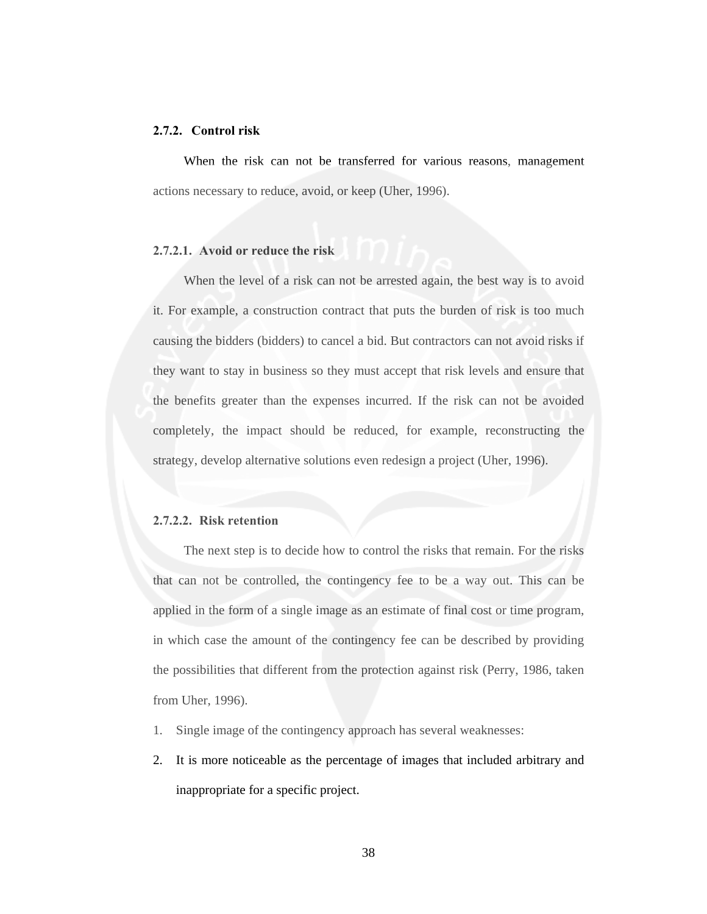#### **2.7.2. Control risk**

When the risk can not be transferred for various reasons, management actions necessary to reduce, avoid, or keep (Uher, 1996).

## **2.7.2.1. Avoid or reduce the risk**

When the level of a risk can not be arrested again, the best way is to avoid it. For example, a construction contract that puts the burden of risk is too much causing the bidders (bidders) to cancel a bid. But contractors can not avoid risks if they want to stay in business so they must accept that risk levels and ensure that the benefits greater than the expenses incurred. If the risk can not be avoided completely, the impact should be reduced, for example, reconstructing the strategy, develop alternative solutions even redesign a project (Uher, 1996).

## **2.7.2.2. Risk retention**

The next step is to decide how to control the risks that remain. For the risks that can not be controlled, the contingency fee to be a way out. This can be applied in the form of a single image as an estimate of final cost or time program, in which case the amount of the contingency fee can be described by providing the possibilities that different from the protection against risk (Perry, 1986, taken from Uher, 1996).

- 1. Single image of the contingency approach has several weaknesses:
- 2. It is more noticeable as the percentage of images that included arbitrary and inappropriate for a specific project.